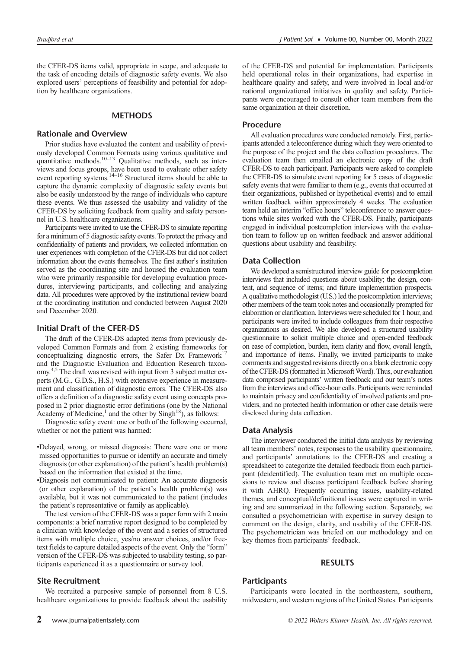the CFER-DS items valid, appropriate in scope, and adequate to the task of encoding details of diagnostic safety events. We also explored users' perceptions of feasibility and potential for adoption by healthcare organizations.

# **METHODS**

### Rationale and Overview

Prior studies have evaluated the content and usability of previously developed Common Formats using various qualitative and quantitative methods.<sup>10–13</sup> Qualitative methods, such as interviews and focus groups, have been used to evaluate other safety event reporting systems.14–<sup>16</sup> Structured items should be able to capture the dynamic complexity of diagnostic safety events but also be easily understood by the range of individuals who capture these events. We thus assessed the usability and validity of the CFER-DS by soliciting feedback from quality and safety personnel in U.S. healthcare organizations.

Participants were invited to use the CFER-DS to simulate reporting for a minimum of 5 diagnostic safety events. To protect the privacy and confidentiality of patients and providers, we collected information on user experiences with completion of the CFER-DS but did not collect information about the events themselves. The first author's institution served as the coordinating site and housed the evaluation team who were primarily responsible for developing evaluation procedures, interviewing participants, and collecting and analyzing data. All procedures were approved by the institutional review board at the coordinating institution and conducted between August 2020 and December 2020.

### Initial Draft of the CFER-DS

The draft of the CFER-DS adapted items from previously developed Common Formats and from 2 existing frameworks for conceptualizing diagnostic errors, the Safer Dx Framework<sup>17</sup> and the Diagnostic Evaluation and Education Research taxonomy.<sup>4,5</sup> The draft was revised with input from 3 subject matter experts (M.G., G.D.S., H.S.) with extensive experience in measurement and classification of diagnostic errors. The CFER-DS also offers a definition of a diagnostic safety event using concepts proposed in 2 prior diagnostic error definitions (one by the National Academy of Medicine,<sup>1</sup> and the other by  $\text{Sing}h^{18}$ ), as follows:

Diagnostic safety event: one or both of the following occurred, whether or not the patient was harmed:

- •Delayed, wrong, or missed diagnosis: There were one or more missed opportunities to pursue or identify an accurate and timely diagnosis (or other explanation) of the patient's health problem(s) based on the information that existed at the time.
- •Diagnosis not communicated to patient: An accurate diagnosis (or other explanation) of the patient's health problem(s) was available, but it was not communicated to the patient (includes the patient's representative or family as applicable).

The test version of the CFER-DS was a paper form with 2 main components: a brief narrative report designed to be completed by a clinician with knowledge of the event and a series of structured items with multiple choice, yes/no answer choices, and/or freetext fields to capture detailed aspects of the event. Only the "form" version of the CFER-DS was subjected to usability testing, so participants experienced it as a questionnaire or survey tool.

#### Site Recruitment

We recruited a purposive sample of personnel from 8 U.S. healthcare organizations to provide feedback about the usability of the CFER-DS and potential for implementation. Participants held operational roles in their organizations, had expertise in healthcare quality and safety, and were involved in local and/or national organizational initiatives in quality and safety. Participants were encouraged to consult other team members from the same organization at their discretion.

#### Procedure

All evaluation procedures were conducted remotely. First, participants attended a teleconference during which they were oriented to the purpose of the project and the data collection procedures. The evaluation team then emailed an electronic copy of the draft CFER-DS to each participant. Participants were asked to complete the CFER-DS to simulate event reporting for 5 cases of diagnostic safety events that were familiar to them (e.g., events that occurred at their organizations, published or hypothetical events) and to email written feedback within approximately 4 weeks. The evaluation team held an interim "office hours" teleconference to answer questions while sites worked with the CFER-DS. Finally, participants engaged in individual postcompletion interviews with the evaluation team to follow up on written feedback and answer additional questions about usability and feasibility.

### Data Collection

We developed a semistructured interview guide for postcompletion interviews that included questions about usability; the design, content, and sequence of items; and future implementation prospects. A qualitative methodologist (U.S.) led the postcompletion interviews; other members of the team took notes and occasionally prompted for elaboration or clarification. Interviews were scheduled for 1 hour, and participants were invited to include colleagues from their respective organizations as desired. We also developed a structured usability questionnaire to solicit multiple choice and open-ended feedback on ease of completion, burden, item clarity and flow, overall length, and importance of items. Finally, we invited participants to make comments and suggested revisions directly on a blank electronic copy of theCFER-DS (formatted in Microsoft Word). Thus, our evaluation data comprised participants' written feedback and our team's notes from the interviews and office-hour calls. Participants were reminded to maintain privacy and confidentiality of involved patients and providers, and no protected health information or other case details were disclosed during data collection.

### Data Analysis

The interviewer conducted the initial data analysis by reviewing all team members' notes, responses to the usability questionnaire, and participants' annotations to the CFER-DS and creating a preadsheet to categorize the detailed feedback from each participant (deidentified). The evaluation team met on multiple occasions to review and discuss participant feedback before sharing it with AHRQ. Frequently occurring issues, usability-related hemes, and conceptual/definitional issues were captured in writng and are summarized in the following section. Separately, we consulted a psychometrician with expertise in survey design to comment on the design, clarity, and usability of the CFER-DS. The psychometrician was briefed on our methodology and on key themes from participants' feedback.

### RESULTS

## **Participants**

Participants were located in the northeastern, southern, midwestern, and western regions of the United States. Participants